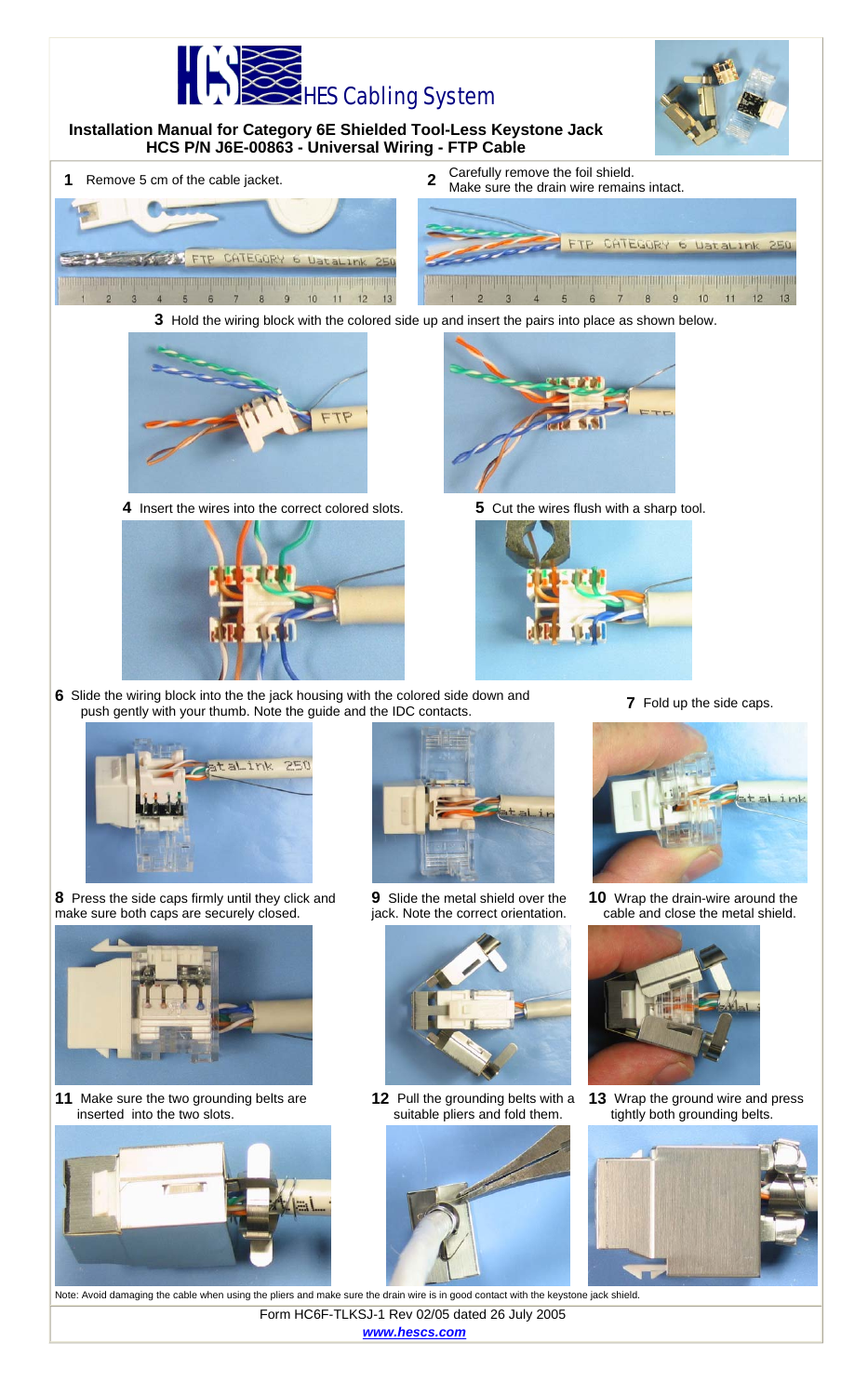



**11** Make sure the two grounding belts are inserted into the two slots.





12 Pull the grounding belts with a suitable pliers and fold them.



- 
- **13** Wrap the ground wire and press tightly both grounding belts.



Note: Avoid damaging the cable when using the pliers and make sure the drain wire is in good contact with the keystone jack shield. Form HC6F-TLKSJ-1 Rev 02/05 dated 26 July 2005 *www.hescs.com*